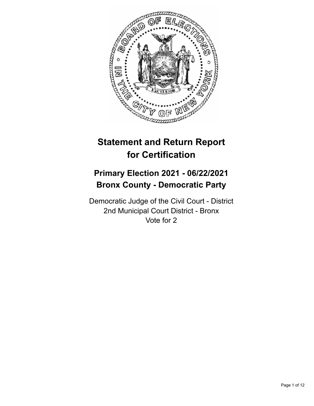

# **Statement and Return Report for Certification**

# **Primary Election 2021 - 06/22/2021 Bronx County - Democratic Party**

Democratic Judge of the Civil Court - District 2nd Municipal Court District - Bronx Vote for 2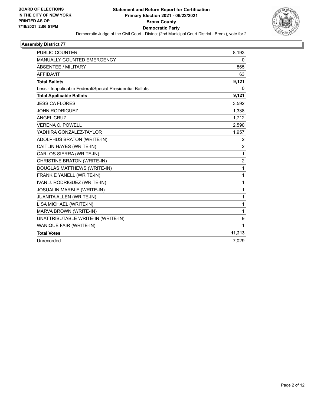

| <b>PUBLIC COUNTER</b>                                    | 8,193          |
|----------------------------------------------------------|----------------|
| <b>MANUALLY COUNTED EMERGENCY</b>                        | 0              |
| <b>ABSENTEE / MILITARY</b>                               | 865            |
| <b>AFFIDAVIT</b>                                         | 63             |
| <b>Total Ballots</b>                                     | 9,121          |
| Less - Inapplicable Federal/Special Presidential Ballots | 0              |
| <b>Total Applicable Ballots</b>                          | 9,121          |
| <b>JESSICA FLORES</b>                                    | 3,592          |
| <b>JOHN RODRIGUEZ</b>                                    | 1,338          |
| <b>ANGEL CRUZ</b>                                        | 1,712          |
| <b>VERENA C. POWELL</b>                                  | 2,590          |
| YADHIRA GONZALEZ-TAYLOR                                  | 1,957          |
| ADOLPHUS BRATON (WRITE-IN)                               | 2              |
| CAITLIN HAYES (WRITE-IN)                                 | 2              |
| CARLOS SIERRA (WRITE-IN)                                 | 1              |
| CHRISTINE BRATON (WRITE-IN)                              | $\overline{c}$ |
| DOUGLAS MATTHEWS (WRITE-IN)                              | $\mathbf{1}$   |
| FRANKIE YANELL (WRITE-IN)                                | 1              |
| IVAN J. RODRIGUEZ (WRITE-IN)                             | 1              |
| JOSUALIN MARBLE (WRITE-IN)                               | 1              |
| <b>JUANITA ALLEN (WRITE-IN)</b>                          | 1              |
| LISA MICHAEL (WRITE-IN)                                  | 1              |
| MARVA BROWN (WRITE-IN)                                   | 1              |
| UNATTRIBUTABLE WRITE-IN (WRITE-IN)                       | 9              |
| WANIQUE FAIR (WRITE-IN)                                  | 1              |
| <b>Total Votes</b>                                       | 11,213         |
| Unrecorded                                               | 7,029          |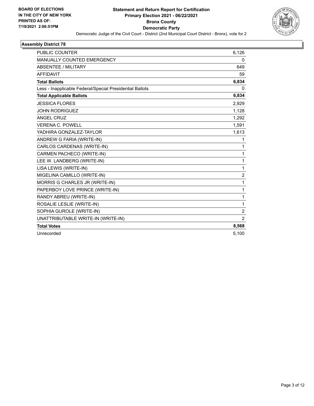

| <b>PUBLIC COUNTER</b>                                    | 6,126          |
|----------------------------------------------------------|----------------|
| MANUALLY COUNTED EMERGENCY                               | 0              |
| <b>ABSENTEE / MILITARY</b>                               | 649            |
| <b>AFFIDAVIT</b>                                         | 59             |
| <b>Total Ballots</b>                                     | 6,834          |
| Less - Inapplicable Federal/Special Presidential Ballots | 0              |
| <b>Total Applicable Ballots</b>                          | 6,834          |
| <b>JESSICA FLORES</b>                                    | 2,929          |
| <b>JOHN RODRIGUEZ</b>                                    | 1,128          |
| <b>ANGEL CRUZ</b>                                        | 1,292          |
| <b>VERENA C. POWELL</b>                                  | 1,591          |
| YADHIRA GONZALEZ-TAYLOR                                  | 1,613          |
| ANDREW G FARIA (WRITE-IN)                                | 1              |
| CARLOS CARDENAS (WRITE-IN)                               | 1              |
| CARMEN PACHECO (WRITE-IN)                                | 1              |
| LEE W. LANDBERG (WRITE-IN)                               | 1              |
| LISA LEWIS (WRITE-IN)                                    | 1              |
| MIGELINA CAMILLO (WRITE-IN)                              | $\overline{2}$ |
| MORRIS G CHARLES JR (WRITE-IN)                           | 1              |
| PAPERBOY LOVE PRINCE (WRITE-IN)                          | 1              |
| RANDY ABREU (WRITE-IN)                                   | 1              |
| ROSALIE LESLIE (WRITE-IN)                                | 1              |
| SOPHIA GUROLE (WRITE-IN)                                 | $\overline{2}$ |
| UNATTRIBUTABLE WRITE-IN (WRITE-IN)                       | $\overline{2}$ |
| <b>Total Votes</b>                                       | 8,568          |
| Unrecorded                                               | 5,100          |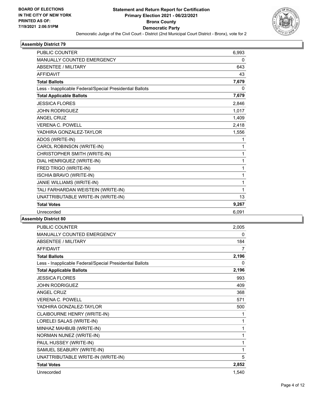

| <b>PUBLIC COUNTER</b>                                    | 6,993 |
|----------------------------------------------------------|-------|
| MANUALLY COUNTED EMERGENCY                               | 0     |
| <b>ABSENTEE / MILITARY</b>                               | 643   |
| <b>AFFIDAVIT</b>                                         | 43    |
| <b>Total Ballots</b>                                     | 7,679 |
| Less - Inapplicable Federal/Special Presidential Ballots | 0     |
| <b>Total Applicable Ballots</b>                          | 7,679 |
| <b>JESSICA FLORES</b>                                    | 2,846 |
| <b>JOHN RODRIGUEZ</b>                                    | 1,017 |
| <b>ANGEL CRUZ</b>                                        | 1,409 |
| <b>VERENA C. POWELL</b>                                  | 2,418 |
| YADHIRA GONZALEZ-TAYLOR                                  | 1,556 |
| ADOS (WRITE-IN)                                          | 1     |
| CAROL ROBINSON (WRITE-IN)                                | 1     |
| CHRISTOPHER SMITH (WRITE-IN)                             | 1     |
| DIAL HENRIQUEZ (WRITE-IN)                                | 1     |
| FRED TRIGO (WRITE-IN)                                    | 1     |
| ISCHIA BRAVO (WRITE-IN)                                  | 1     |
| JANIE WILLIAMS (WRITE-IN)                                | 1     |
| TALI FARHARDAN WEISTEIN (WRITE-IN)                       | 1     |
| UNATTRIBUTABLE WRITE-IN (WRITE-IN)                       | 13    |
| <b>Total Votes</b>                                       | 9,267 |
| Unrecorded                                               | 6,091 |
|                                                          |       |

| PUBLIC COUNTER                                           | 2,005 |
|----------------------------------------------------------|-------|
| MANUALLY COUNTED EMERGENCY                               | 0     |
| <b>ABSENTEE / MILITARY</b>                               | 184   |
| AFFIDAVIT                                                | 7     |
| <b>Total Ballots</b>                                     | 2,196 |
| Less - Inapplicable Federal/Special Presidential Ballots | 0     |
| <b>Total Applicable Ballots</b>                          | 2,196 |
| <b>JESSICA FLORES</b>                                    | 993   |
| <b>JOHN RODRIGUEZ</b>                                    | 409   |
| <b>ANGEL CRUZ</b>                                        | 368   |
| <b>VERENA C. POWELL</b>                                  | 571   |
| YADHIRA GONZALEZ-TAYLOR                                  | 500   |
| CLAIBOURNE HENRY (WRITE-IN)                              | 1     |
| LORELEI SALAS (WRITE-IN)                                 | 1     |
| MINHAZ MAHBUB (WRITE-IN)                                 | 1     |
| NORMAN NUNEZ (WRITE-IN)                                  | 1     |
| PAUL HUSSEY (WRITE-IN)                                   | 1     |
| SAMUEL SEABURY (WRITE-IN)                                | 1     |
| UNATTRIBUTABLE WRITE-IN (WRITE-IN)                       | 5     |
| <b>Total Votes</b>                                       | 2,852 |
| Unrecorded                                               | 1,540 |
|                                                          |       |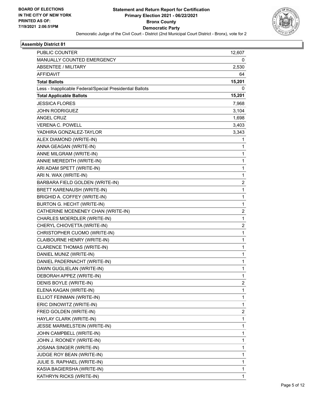

| PUBLIC COUNTER                                           | 12,607 |
|----------------------------------------------------------|--------|
| MANUALLY COUNTED EMERGENCY                               | 0      |
| ABSENTEE / MILITARY                                      | 2,530  |
| <b>AFFIDAVIT</b>                                         | 64     |
| <b>Total Ballots</b>                                     | 15,201 |
| Less - Inapplicable Federal/Special Presidential Ballots | 0      |
| <b>Total Applicable Ballots</b>                          | 15,201 |
| <b>JESSICA FLORES</b>                                    | 7,968  |
| <b>JOHN RODRIGUEZ</b>                                    | 3,104  |
| <b>ANGEL CRUZ</b>                                        | 1,698  |
| VERENA C. POWELL                                         | 3,403  |
| YADHIRA GONZALEZ-TAYLOR                                  | 3,343  |
| ALEX DIAMOND (WRITE-IN)                                  | 1      |
| ANNA GEAGAN (WRITE-IN)                                   | 1      |
| ANNE MILGRAM (WRITE-IN)                                  | 1      |
| ANNIE MEREDITH (WRITE-IN)                                | 1      |
| ARI ADAM SPETT (WRITE-IN)                                | 1      |
| ARI N. WAX (WRITE-IN)                                    | 1      |
| BARBARA FIELD GOLDEN (WRITE-IN)                          | 2      |
| BRETT KARENAUSH (WRITE-IN)                               | 1      |
| BRIGHID A. COFFEY (WRITE-IN)                             | 1      |
| BURTON G. HECHT (WRITE-IN)                               | 1      |
| CATHERINE MCENENEY CHAN (WRITE-IN)                       | 2      |
| CHARLES MOERDLER (WRITE-IN)                              | 1      |
| CHERYL CHIOVETTA (WRITE-IN)                              | 2      |
| CHRISTOPHER CUOMO (WRITE-IN)                             | 1      |
| CLAIBOURNE HENRY (WRITE-IN)                              | 1      |
| CLARENCE THOMAS (WRITE-IN)                               | 1      |
| DANIEL MUNIZ (WRITE-IN)                                  | 1      |
| DANIEL PADERNACHT (WRITE-IN)                             | 1      |
| DAWN GUGLIELAN (WRITE-IN)                                | 1      |
| DEBORAH APPEZ (WRITE-IN)                                 | 1      |
| DENIS BOYLE (WRITE-IN)                                   | 2      |
| ELENA KAGAN (WRITE-IN)                                   | 1      |
| ELLIOT FEINMAN (WRITE-IN)                                | 1      |
| ERIC DINOWITZ (WRITE-IN)                                 | 1      |
| FRED GOLDEN (WRITE-IN)                                   | 2      |
| HAYLAY CLARK (WRITE-IN)                                  | 1      |
| JESSE MARMELSTEIN (WRITE-IN)                             | 1      |
| JOHN CAMPBELL (WRITE-IN)                                 | 1      |
| JOHN J. ROONEY (WRITE-IN)                                | 1      |
| JOSANA SINGER (WRITE-IN)                                 | 1      |
| JUDGE ROY BEAN (WRITE-IN)                                | 1      |
| JULIE S. RAPHAEL (WRITE-IN)                              | 1      |
| KASIA BAGIERSHA (WRITE-IN)                               | 1      |
| KATHRYN RICKS (WRITE-IN)                                 | 1      |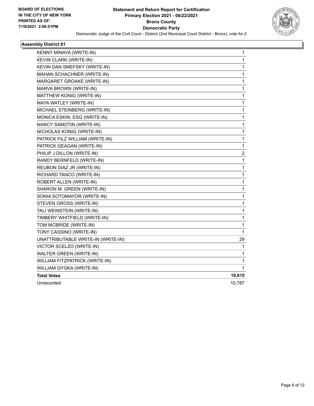

| KENNY MINAYA (WRITE-IN)            | 1            |
|------------------------------------|--------------|
| KEVIN CLARK (WRITE-IN)             | 1            |
| KEVIN DAN SMEFSKY (WRITE-IN)       | 1            |
| MAHAN SCHACHNER (WRITE-IN)         | 1            |
| MARGARET GROAKE (WRITE-IN)         | 1            |
| MARVA BROWN (WRITE-IN)             | 1            |
| MATTHEW KONIG (WRITE-IN)           | 1            |
| MAYA WATLEY (WRITE-IN)             | 1            |
| MICHAEL STEINBERG (WRITE-IN)       | 1            |
| MONICA ESKIN, ESQ (WRITE-IN)       | 1            |
| NANCY SAMOTIN (WRITE-IN)           | 1            |
| NICHOLAS KONIG (WRITE-IN)          | 1            |
| PATRICK FILZ WILLIAM (WRITE-IN)    | 1            |
| PATRICK GEAGAN (WRITE-IN)          | 1            |
| PHILIP J DILLON (WRITE-IN)         | 2            |
| RANDY BERNFELD (WRITE-IN)          | $\mathbf{1}$ |
| REUBON DIAZ JR (WRITE-IN)          | 1            |
| RICHARD TANCO (WRITE-IN)           | $\mathbf{1}$ |
| ROBERT ALLEN (WRITE-IN)            | 1            |
| SHARON M. GREEN (WRITE-IN)         | 1            |
| SONIA SOTOMAYOR (WRITE-IN)         | 1            |
| STEVEN GROSS (WRITE-IN)            | 1            |
| TALI WEINSTEIN (WRITE-IN)          | 1            |
| TIMBERY WHITFIELD (WRITE-IN)       | 1            |
| TOM MCBRIDE (WRITE-IN)             | 1            |
| TONY CASSINO (WRITE-IN)            | 1            |
| UNATTRIBUTABLE WRITE-IN (WRITE-IN) | 29           |
| VICTOR SCELZO (WRITE-IN)           | 1            |
| WALTER GREEN (WRITE-IN)            | 1            |
| WILLIAM FITZPATRICK (WRITE-IN)     | 1            |
| WILLIAM QYGKA (WRITE-IN)           | 1            |
| <b>Total Votes</b>                 | 19,615       |
| Unrecorded                         | 10,787       |
|                                    |              |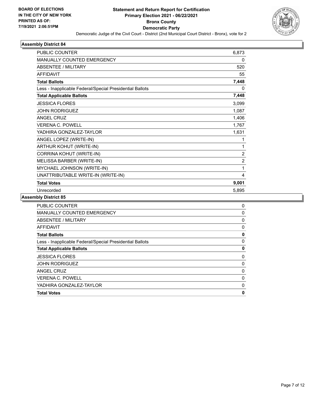

| <b>PUBLIC COUNTER</b>                                    | 6,873          |
|----------------------------------------------------------|----------------|
| <b>MANUALLY COUNTED EMERGENCY</b>                        | 0              |
| ABSENTEE / MILITARY                                      | 520            |
| AFFIDAVIT                                                | 55             |
| <b>Total Ballots</b>                                     | 7,448          |
| Less - Inapplicable Federal/Special Presidential Ballots | 0              |
| <b>Total Applicable Ballots</b>                          | 7,448          |
| <b>JESSICA FLORES</b>                                    | 3,099          |
| <b>JOHN RODRIGUEZ</b>                                    | 1,087          |
| <b>ANGEL CRUZ</b>                                        | 1,406          |
| <b>VERENA C. POWELL</b>                                  | 1,767          |
| YADHIRA GONZALEZ-TAYLOR                                  | 1,631          |
| ANGEL LOPEZ (WRITE-IN)                                   | 1              |
| ARTHUR KOHUT (WRITE-IN)                                  | 1              |
| CORRINA KOHUT (WRITE-IN)                                 | $\overline{2}$ |
| MELISSA BARBER (WRITE-IN)                                | $\overline{2}$ |
| MYCHAEL JOHNSON (WRITE-IN)                               | 1              |
| UNATTRIBUTABLE WRITE-IN (WRITE-IN)                       | 4              |
| <b>Total Votes</b>                                       | 9,001          |
| Unrecorded                                               | 5,895          |
|                                                          |                |

| 0 |
|---|
| 0 |
| 0 |
| 0 |
| 0 |
| 0 |
| 0 |
| 0 |
| 0 |
| 0 |
| 0 |
| 0 |
| 0 |
|   |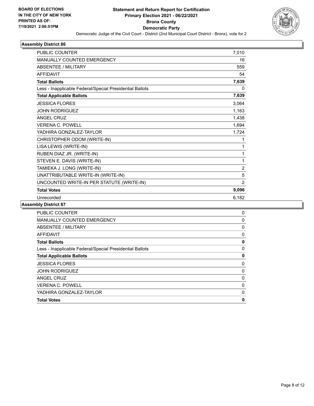

| <b>PUBLIC COUNTER</b>                                    | 7,010          |
|----------------------------------------------------------|----------------|
| <b>MANUALLY COUNTED EMERGENCY</b>                        | 16             |
| <b>ABSENTEE / MILITARY</b>                               | 559            |
| <b>AFFIDAVIT</b>                                         | 54             |
| <b>Total Ballots</b>                                     | 7,639          |
| Less - Inapplicable Federal/Special Presidential Ballots | 0              |
| <b>Total Applicable Ballots</b>                          | 7,639          |
| <b>JESSICA FLORES</b>                                    | 3,064          |
| <b>JOHN RODRIGUEZ</b>                                    | 1,163          |
| <b>ANGEL CRUZ</b>                                        | 1,438          |
| <b>VERENA C. POWELL</b>                                  | 1,694          |
| YADHIRA GONZALEZ-TAYLOR                                  | 1,724          |
| CHRISTOPHER ODOM (WRITE-IN)                              | 1              |
| LISA LEWIS (WRITE-IN)                                    | 1              |
| RUBEN DIAZ JR. (WRITE-IN)                                | 1              |
| STEVEN E. DAVIS (WRITE-IN)                               | 1              |
| TAMIEKA J. LONG (WRITE-IN)                               | $\overline{c}$ |
| UNATTRIBUTABLE WRITE-IN (WRITE-IN)                       | 5              |
| UNCOUNTED WRITE-IN PER STATUTE (WRITE-IN)                | $\overline{2}$ |
| <b>Total Votes</b>                                       | 9,096          |
| Unrecorded                                               | 6,182          |
|                                                          |                |

| <b>PUBLIC COUNTER</b>                                    | 0            |
|----------------------------------------------------------|--------------|
| <b>MANUALLY COUNTED EMERGENCY</b>                        | $\mathbf{0}$ |
| ABSENTEE / MILITARY                                      | 0            |
| AFFIDAVIT                                                | 0            |
| <b>Total Ballots</b>                                     | 0            |
| Less - Inapplicable Federal/Special Presidential Ballots | 0            |
| <b>Total Applicable Ballots</b>                          | 0            |
| <b>JESSICA FLORES</b>                                    | 0            |
| <b>JOHN RODRIGUEZ</b>                                    | $\mathbf{0}$ |
| <b>ANGEL CRUZ</b>                                        | 0            |
| <b>VERENA C. POWELL</b>                                  | 0            |
| YADHIRA GONZALEZ-TAYLOR                                  | 0            |
| <b>Total Votes</b>                                       | 0            |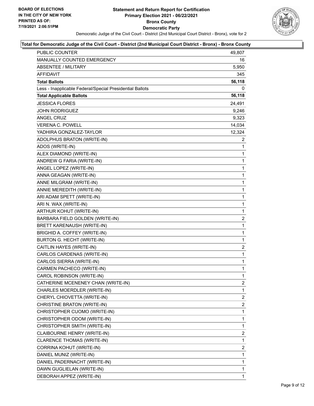

#### **Total for Democratic Judge of the Civil Court - District (2nd Municipal Court District - Bronx) - Bronx County**

| PUBLIC COUNTER                                           | 49,807                  |
|----------------------------------------------------------|-------------------------|
| MANUALLY COUNTED EMERGENCY                               | 16                      |
| <b>ABSENTEE / MILITARY</b>                               | 5,950                   |
| AFFIDAVIT                                                | 345                     |
| <b>Total Ballots</b>                                     | 56,118                  |
| Less - Inapplicable Federal/Special Presidential Ballots | 0                       |
| <b>Total Applicable Ballots</b>                          | 56,118                  |
| <b>JESSICA FLORES</b>                                    | 24,491                  |
| <b>JOHN RODRIGUEZ</b>                                    | 9,246                   |
| ANGEL CRUZ                                               | 9,323                   |
| <b>VERENA C. POWELL</b>                                  | 14,034                  |
| YADHIRA GONZALEZ-TAYLOR                                  | 12,324                  |
| ADOLPHUS BRATON (WRITE-IN)                               | 2                       |
| ADOS (WRITE-IN)                                          | 1                       |
| ALEX DIAMOND (WRITE-IN)                                  | $\mathbf{1}$            |
| ANDREW G FARIA (WRITE-IN)                                | $\mathbf{1}$            |
| ANGEL LOPEZ (WRITE-IN)                                   | 1                       |
| ANNA GEAGAN (WRITE-IN)                                   | $\mathbf{1}$            |
| ANNE MILGRAM (WRITE-IN)                                  | $\mathbf{1}$            |
| ANNIE MEREDITH (WRITE-IN)                                | 1                       |
| ARI ADAM SPETT (WRITE-IN)                                | $\mathbf{1}$            |
| ARI N. WAX (WRITE-IN)                                    | $\mathbf{1}$            |
| ARTHUR KOHUT (WRITE-IN)                                  | 1                       |
| BARBARA FIELD GOLDEN (WRITE-IN)                          | $\overline{a}$          |
| <b>BRETT KARENAUSH (WRITE-IN)</b>                        | $\mathbf{1}$            |
| BRIGHID A. COFFEY (WRITE-IN)                             | $\mathbf{1}$            |
| BURTON G. HECHT (WRITE-IN)                               | $\mathbf{1}$            |
| CAITLIN HAYES (WRITE-IN)                                 | $\overline{\mathbf{c}}$ |
| CARLOS CARDENAS (WRITE-IN)                               | 1                       |
| CARLOS SIERRA (WRITE-IN)                                 | $\mathbf{1}$            |
| CARMEN PACHECO (WRITE-IN)                                | $\mathbf{1}$            |
| CAROL ROBINSON (WRITE-IN)                                | 1                       |
| CATHERINE MCENENEY CHAN (WRITE-IN)                       | $\overline{2}$          |
| CHARLES MOERDLER (WRITE-IN)                              | 1                       |
| CHERYL CHIOVETTA (WRITE-IN)                              | $\overline{2}$          |
| CHRISTINE BRATON (WRITE-IN)                              | 2                       |
| CHRISTOPHER CUOMO (WRITE-IN)                             | 1                       |
| CHRISTOPHER ODOM (WRITE-IN)                              | 1                       |
| CHRISTOPHER SMITH (WRITE-IN)                             | $\mathbf{1}$            |
| CLAIBOURNE HENRY (WRITE-IN)                              | $\overline{2}$          |
| CLARENCE THOMAS (WRITE-IN)                               | 1                       |
| CORRINA KOHUT (WRITE-IN)                                 | 2                       |
| DANIEL MUNIZ (WRITE-IN)                                  | 1                       |
| DANIEL PADERNACHT (WRITE-IN)                             | 1                       |
| DAWN GUGLIELAN (WRITE-IN)                                | $\mathbf{1}$            |
| DEBORAH APPEZ (WRITE-IN)                                 | 1                       |
|                                                          |                         |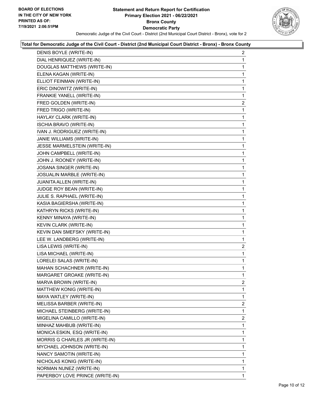

# **Total for Democratic Judge of the Civil Court - District (2nd Municipal Court District - Bronx) - Bronx County**

| DENIS BOYLE (WRITE-IN)          | $\overline{a}$          |
|---------------------------------|-------------------------|
| DIAL HENRIQUEZ (WRITE-IN)       | 1                       |
| DOUGLAS MATTHEWS (WRITE-IN)     | 1                       |
| ELENA KAGAN (WRITE-IN)          | 1                       |
| ELLIOT FEINMAN (WRITE-IN)       | 1                       |
| ERIC DINOWITZ (WRITE-IN)        | 1                       |
| FRANKIE YANELL (WRITE-IN)       | 1                       |
| FRED GOLDEN (WRITE-IN)          | $\overline{2}$          |
| FRED TRIGO (WRITE-IN)           | 1                       |
| HAYLAY CLARK (WRITE-IN)         | 1                       |
| ISCHIA BRAVO (WRITE-IN)         | 1                       |
| IVAN J. RODRIGUEZ (WRITE-IN)    | 1                       |
| JANIE WILLIAMS (WRITE-IN)       | $\mathbf{1}$            |
| JESSE MARMELSTEIN (WRITE-IN)    | 1                       |
| JOHN CAMPBELL (WRITE-IN)        | 1                       |
| JOHN J. ROONEY (WRITE-IN)       | 1                       |
| JOSANA SINGER (WRITE-IN)        | 1                       |
| JOSUALIN MARBLE (WRITE-IN)      | 1                       |
| JUANITA ALLEN (WRITE-IN)        | 1                       |
| JUDGE ROY BEAN (WRITE-IN)       | 1                       |
| JULIE S. RAPHAEL (WRITE-IN)     | 1                       |
| KASIA BAGIERSHA (WRITE-IN)      | 1                       |
| KATHRYN RICKS (WRITE-IN)        | 1                       |
| KENNY MINAYA (WRITE-IN)         | 1                       |
| KEVIN CLARK (WRITE-IN)          | 1                       |
| KEVIN DAN SMEFSKY (WRITE-IN)    | 1                       |
| LEE W. LANDBERG (WRITE-IN)      | 1                       |
| LISA LEWIS (WRITE-IN)           | $\overline{\mathbf{c}}$ |
| LISA MICHAEL (WRITE-IN)         | $\mathbf{1}$            |
| LORELEI SALAS (WRITE-IN)        | 1                       |
| MAHAN SCHACHNER (WRITE-IN)      | 1                       |
| MARGARET GROAKE (WRITE-IN)      | 1                       |
| MARVA BROWN (WRITE-IN)          | $\overline{2}$          |
| MATTHEW KONIG (WRITE-IN)        | 1                       |
| MAYA WATLEY (WRITE-IN)          | 1                       |
| MELISSA BARBER (WRITE-IN)       | $\overline{2}$          |
| MICHAEL STEINBERG (WRITE-IN)    | 1                       |
| MIGELINA CAMILLO (WRITE-IN)     | $\overline{2}$          |
| MINHAZ MAHBUB (WRITE-IN)        | 1                       |
| MONICA ESKIN, ESQ (WRITE-IN)    | 1                       |
| MORRIS G CHARLES JR (WRITE-IN)  | 1                       |
| MYCHAEL JOHNSON (WRITE-IN)      | 1                       |
| NANCY SAMOTIN (WRITE-IN)        | 1                       |
| NICHOLAS KONIG (WRITE-IN)       | 1                       |
| NORMAN NUNEZ (WRITE-IN)         | 1                       |
| PAPERBOY LOVE PRINCE (WRITE-IN) | 1                       |
|                                 |                         |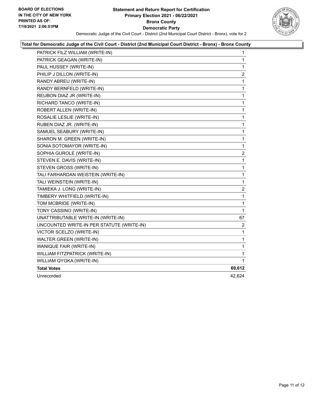

# **Total for Democratic Judge of the Civil Court - District (2nd Municipal Court District - Bronx) - Bronx County**

| PATRICK FILZ WILLIAM (WRITE-IN)           | 1                       |
|-------------------------------------------|-------------------------|
| PATRICK GEAGAN (WRITE-IN)                 | $\mathbf{1}$            |
| PAUL HUSSEY (WRITE-IN)                    | $\mathbf{1}$            |
| PHILIP J DILLON (WRITE-IN)                | 2                       |
| RANDY ABREU (WRITE-IN)                    | 1                       |
| RANDY BERNFELD (WRITE-IN)                 | 1                       |
| REUBON DIAZ JR (WRITE-IN)                 | 1                       |
| RICHARD TANCO (WRITE-IN)                  | $\mathbf{1}$            |
| ROBERT ALLEN (WRITE-IN)                   | $\mathbf{1}$            |
| ROSALIE LESLIE (WRITE-IN)                 | 1                       |
| RUBEN DIAZ JR. (WRITE-IN)                 | $\mathbf{1}$            |
| SAMUEL SEABURY (WRITE-IN)                 | 1                       |
| SHARON M. GREEN (WRITE-IN)                | 1                       |
| SONIA SOTOMAYOR (WRITE-IN)                | $\mathbf{1}$            |
| SOPHIA GUROLE (WRITE-IN)                  | $\overline{c}$          |
| STEVEN E. DAVIS (WRITE-IN)                | 1                       |
| STEVEN GROSS (WRITE-IN)                   | $\mathbf{1}$            |
| TALI FARHARDAN WEISTEIN (WRITE-IN)        | $\mathbf{1}$            |
| TALI WEINSTEIN (WRITE-IN)                 | 1                       |
| TAMIEKA J. LONG (WRITE-IN)                | $\overline{\mathbf{c}}$ |
| TIMBERY WHITFIELD (WRITE-IN)              | 1                       |
| TOM MCBRIDE (WRITE-IN)                    | 1                       |
| TONY CASSINO (WRITE-IN)                   | $\mathbf{1}$            |
| UNATTRIBUTABLE WRITE-IN (WRITE-IN)        | 67                      |
| UNCOUNTED WRITE-IN PER STATUTE (WRITE-IN) | $\overline{2}$          |
| VICTOR SCELZO (WRITE-IN)                  | $\mathbf{1}$            |
| <b>WALTER GREEN (WRITE-IN)</b>            | $\mathbf{1}$            |
| WANIQUE FAIR (WRITE-IN)                   | $\mathbf{1}$            |
| WILLIAM FITZPATRICK (WRITE-IN)            | $\mathbf{1}$            |
| WILLIAM QYGKA (WRITE-IN)                  | 1                       |
| <b>Total Votes</b>                        | 69,612                  |
| Unrecorded                                | 42.624                  |